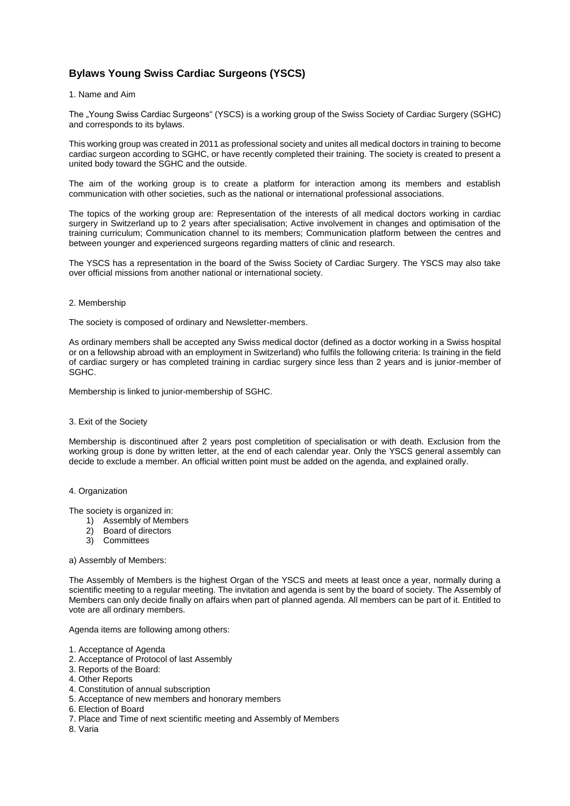# **Bylaws Young Swiss Cardiac Surgeons (YSCS)**

# 1. Name and Aim

The "Young Swiss Cardiac Surgeons" (YSCS) is a working group of the Swiss Society of Cardiac Surgery (SGHC) and corresponds to its bylaws.

This working group was created in 2011 as professional society and unites all medical doctors in training to become cardiac surgeon according to SGHC, or have recently completed their training. The society is created to present a united body toward the SGHC and the outside.

The aim of the working group is to create a platform for interaction among its members and establish communication with other societies, such as the national or international professional associations.

The topics of the working group are: Representation of the interests of all medical doctors working in cardiac surgery in Switzerland up to 2 years after specialisation; Active involvement in changes and optimisation of the training curriculum; Communication channel to its members; Communication platform between the centres and between younger and experienced surgeons regarding matters of clinic and research.

The YSCS has a representation in the board of the Swiss Society of Cardiac Surgery. The YSCS may also take over official missions from another national or international society.

## 2. Membership

The society is composed of ordinary and Newsletter-members.

As ordinary members shall be accepted any Swiss medical doctor (defined as a doctor working in a Swiss hospital or on a fellowship abroad with an employment in Switzerland) who fulfils the following criteria: Is training in the field of cardiac surgery or has completed training in cardiac surgery since less than 2 years and is junior-member of SGHC.

Membership is linked to junior-membership of SGHC.

# 3. Exit of the Society

Membership is discontinued after 2 years post completition of specialisation or with death. Exclusion from the working group is done by written letter, at the end of each calendar year. Only the YSCS general assembly can decide to exclude a member. An official written point must be added on the agenda, and explained orally.

# 4. Organization

The society is organized in:

- 1) Assembly of Members
- 2) Board of directors
- **Committees**

## a) Assembly of Members:

The Assembly of Members is the highest Organ of the YSCS and meets at least once a year, normally during a scientific meeting to a regular meeting. The invitation and agenda is sent by the board of society. The Assembly of Members can only decide finally on affairs when part of planned agenda. All members can be part of it. Entitled to vote are all ordinary members.

Agenda items are following among others:

- 1. Acceptance of Agenda
- 2. Acceptance of Protocol of last Assembly
- 3. Reports of the Board:
- 4. Other Reports
- 4. Constitution of annual subscription
- 5. Acceptance of new members and honorary members
- 6. Election of Board
- 7. Place and Time of next scientific meeting and Assembly of Members
- 8. Varia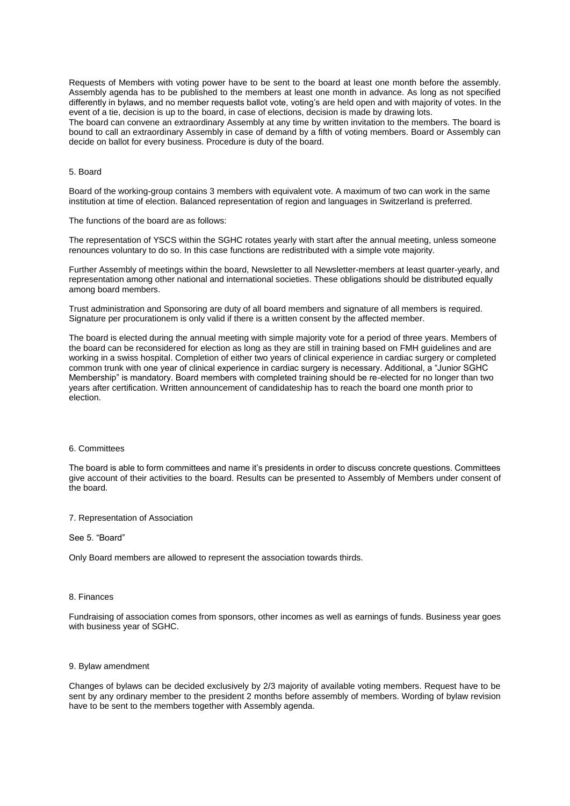Requests of Members with voting power have to be sent to the board at least one month before the assembly. Assembly agenda has to be published to the members at least one month in advance. As long as not specified differently in bylaws, and no member requests ballot vote, voting's are held open and with majority of votes. In the event of a tie, decision is up to the board, in case of elections, decision is made by drawing lots.

The board can convene an extraordinary Assembly at any time by written invitation to the members. The board is bound to call an extraordinary Assembly in case of demand by a fifth of voting members. Board or Assembly can decide on ballot for every business. Procedure is duty of the board.

# 5. Board

Board of the working-group contains 3 members with equivalent vote. A maximum of two can work in the same institution at time of election. Balanced representation of region and languages in Switzerland is preferred.

The functions of the board are as follows:

The representation of YSCS within the SGHC rotates yearly with start after the annual meeting, unless someone renounces voluntary to do so. In this case functions are redistributed with a simple vote majority.

Further Assembly of meetings within the board, Newsletter to all Newsletter-members at least quarter-yearly, and representation among other national and international societies. These obligations should be distributed equally among board members.

Trust administration and Sponsoring are duty of all board members and signature of all members is required. Signature per procurationem is only valid if there is a written consent by the affected member.

The board is elected during the annual meeting with simple majority vote for a period of three years. Members of the board can be reconsidered for election as long as they are still in training based on FMH guidelines and are working in a swiss hospital. Completion of either two years of clinical experience in cardiac surgery or completed common trunk with one year of clinical experience in cardiac surgery is necessary. Additional, a "Junior SGHC Membership" is mandatory. Board members with completed training should be re-elected for no longer than two years after certification. Written announcement of candidateship has to reach the board one month prior to election.

#### 6. Committees

The board is able to form committees and name it's presidents in order to discuss concrete questions. Committees give account of their activities to the board. Results can be presented to Assembly of Members under consent of the board.

#### 7. Representation of Association

## See 5. "Board"

Only Board members are allowed to represent the association towards thirds.

## 8. Finances

Fundraising of association comes from sponsors, other incomes as well as earnings of funds. Business year goes with business year of SGHC.

#### 9. Bylaw amendment

Changes of bylaws can be decided exclusively by 2/3 majority of available voting members. Request have to be sent by any ordinary member to the president 2 months before assembly of members. Wording of bylaw revision have to be sent to the members together with Assembly agenda.